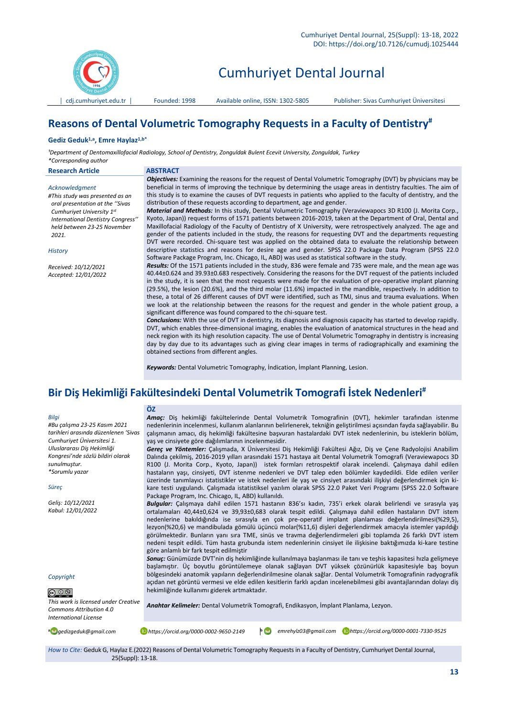

# Cumhuriyet Dental Journal

# **Reasons of Dental Volumetric Tomography Requests in a Faculty of Dentistry#**

#### **Gediz Geduk1,a , Emre Haylaz1,b\***

*¹Department of Dentomaxillofacial Radiology, School of Dentistry, Zonguldak Bulent Ecevit University, Zonguldak, Turkey \*Corresponding author*

| <b>Research Article</b>                                                              | <b>ABSTRACT</b>                                                                                                                                                                                                                                                                                                                                                                                                                        |
|--------------------------------------------------------------------------------------|----------------------------------------------------------------------------------------------------------------------------------------------------------------------------------------------------------------------------------------------------------------------------------------------------------------------------------------------------------------------------------------------------------------------------------------|
| Acknowledgment<br>#This study was presented as an<br>oral presentation at the "Sivas | <b>Objectives:</b> Examining the reasons for the request of Dental Volumetric Tomography (DVT) by physicians may be<br>beneficial in terms of improving the technique by determining the usage areas in dentistry faculties. The aim of<br>this study is to examine the causes of DVT requests in patients who applied to the faculty of dentistry, and the<br>distribution of these requests according to department, age and gender. |
| Cumhuriyet University 1st                                                            | <b>Material and Methods:</b> In this study, Dental Volumetric Tomography (Veraviewapocs 3D R100 (J. Morita Corp.,                                                                                                                                                                                                                                                                                                                      |
| International Dentistry Congress"                                                    | Kyoto, Japan)) request forms of 1571 patients between 2016-2019, taken at the Department of Oral, Dental and                                                                                                                                                                                                                                                                                                                           |
| held between 23-25 November                                                          | Maxillofacial Radiology of the Faculty of Dentistry of X University, were retrospectively analyzed. The age and                                                                                                                                                                                                                                                                                                                        |
| 2021.                                                                                | gender of the patients included in the study, the reasons for requesting DVT and the departments requesting<br>DVT were recorded. Chi-square test was applied on the obtained data to evaluate the relationship between                                                                                                                                                                                                                |
| <b>History</b>                                                                       | descriptive statistics and reasons for desire age and gender. SPSS 22.0 Package Data Program (SPSS 22.0<br>Software Package Program, Inc. Chicago, IL, ABD) was used as statistical software in the study.                                                                                                                                                                                                                             |
| Received: 10/12/2021                                                                 | Results: Of the 1571 patients included in the study, 836 were female and 735 were male, and the mean age was                                                                                                                                                                                                                                                                                                                           |
| Accepted: 12/01/2022                                                                 | 40.44±0.624 and 39.93±0.683 respectively. Considering the reasons for the DVT request of the patients included                                                                                                                                                                                                                                                                                                                         |
|                                                                                      | in the study, it is seen that the most requests were made for the evaluation of pre-operative implant planning                                                                                                                                                                                                                                                                                                                         |
|                                                                                      | (29.5%), the lesion (20.6%), and the third molar (11.6%) impacted in the mandible, respectively. In addition to                                                                                                                                                                                                                                                                                                                        |
|                                                                                      | these, a total of 26 different causes of DVT were identified, such as TMJ, sinus and trauma evaluations. When                                                                                                                                                                                                                                                                                                                          |
|                                                                                      | we look at the relationship between the reasons for the request and gender in the whole patient group, a                                                                                                                                                                                                                                                                                                                               |
|                                                                                      | significant difference was found compared to the chi-square test.                                                                                                                                                                                                                                                                                                                                                                      |
|                                                                                      | <b>Conclusions:</b> With the use of DVT in dentistry, its diagnosis and diagnosis capacity has started to develop rapidly.                                                                                                                                                                                                                                                                                                             |
|                                                                                      | DVT, which enables three-dimensional imaging, enables the evaluation of anatomical structures in the head and<br>neck region with its high resolution capacity. The use of Dental Volumetric Tomography in dentistry is increasing                                                                                                                                                                                                     |
|                                                                                      | day by day due to its advantages such as giving clear images in terms of radiographically and examining the                                                                                                                                                                                                                                                                                                                            |
|                                                                                      | obtained sections from different angles.                                                                                                                                                                                                                                                                                                                                                                                               |
|                                                                                      | render and the second contract of the contract of the second contract of the second contract of the second con                                                                                                                                                                                                                                                                                                                         |

*Keywords:* Dental Volumetric Tomography, İndication, İmplant Planning, Lesion.

# **Bir Diş Hekimliği Fakültesindeki Dental Volumetrik Tomografi İstek Nedenleri#**

yaş ve cinsiyete göre dağılımlarının incelenmesidir.

Package Program, Inc. Chicago, IL, ABD) kullanıldı.

#### *Bilgi*

*#Bu çalışma 23-25 Kasım 2021 tarihleri arasında düzenlenen 'Sivas Cumhuriyet Üniversitesi 1. Uluslararası Diş Hekimliği Kongresi'nde sözlü bildiri olarak sunulmuştur. \*Sorumlu yazar*

**ÖZ**

#### *Süreç*

*Geliş: 10/12/2021 Kabul: 12/01/2022*

*Copyright*

# $\bigcirc$   $\bigcirc$   $\circ$

*This work is licensed under Creative Commons Attribution 4.0 International License*

göre anlamlı bir fark tespit edilmiştir

hekimliğinde kullanımı giderek artmaktadır.

*Amaç:* Diş hekimliği fakültelerinde Dental Volumetrik Tomografinin (DVT), hekimler tarafından istenme nedenlerinin incelenmesi, kullanım alanlarının belirlenerek, tekniğin geliştirilmesi açısından fayda sağlayabilir. Bu çalışmanın amacı, diş hekimliği fakültesine başvuran hastalardaki DVT istek nedenlerinin, bu isteklerin bölüm,

*Gereç ve Yöntemler:* Çalışmada, X Üniversitesi Diş Hekimliği Fakültesi Ağız, Diş ve Çene Radyolojisi Anabilim Dalında çekilmiş, 2016-2019 yılları arasındaki 1571 hastaya ait Dental Volumetrik Tomografi (Veraviewapocs 3D R100 (J. Morita Corp., Kyoto, Japan)) istek formları retrospektif olarak incelendi. Çalışmaya dahil edilen hastaların yaşı, cinsiyeti, DVT istenme nedenleri ve DVT talep eden bölümler kaydedildi. Elde edilen veriler üzerinde tanımlayıcı istatistikler ve istek nedenleri ile yaş ve cinsiyet arasındaki ilişkiyi değerlendirmek için kikare testi uygulandı. Çalışmada istatistiksel yazılım olarak SPSS 22.0 Paket Veri Programı (SPSS 22.0 Software

*Bulgular:* Çalışmaya dahil edilen 1571 hastanın 836'sı kadın, 735'i erkek olarak belirlendi ve sırasıyla yaş ortalamaları 40,44±0,624 ve 39,93±0,683 olarak tespit edildi. Çalışmaya dahil edilen hastaların DVT istem nedenlerine bakıldığında ise sırasıyla en çok pre-operatif implant planlaması değerlendirilmesi(%29,5), lezyon(%20,6) ve mandibulada gömülü üçüncü molar(%11,6) dişleri değerlendirmek amacıyla istemler yapıldığı görülmektedir. Bunların yanı sıra TME, sinüs ve travma değerlendirmeleri gibi toplamda 26 farklı DVT istem nedeni tespit edildi. Tüm hasta grubunda istem nedenlerinin cinsiyet ile ilişkisine baktığımızda ki-kare testine

*Sonuç:* Günümüzde DVT'nin diş hekimliğinde kullanılmaya başlanması ile tanı ve teşhis kapasitesi hızla gelişmeye başlamıştır. Üç boyutlu görüntülemeye olanak sağlayan DVT yüksek çözünürlük kapasitesiyle baş boyun bölgesindeki anatomik yapıların değerlendirilmesine olanak sağlar. Dental Volumetrik Tomografinin radyografik açıdan net görüntü vermesi ve elde edilen kesitlerin farklı açıdan incelenebilmesi gibi avantajlarından dolayı diş

**<sup>a</sup>** *gedizgeduk@gmail.com https://orcid.org/0000-0002-9650-2149* **<sup>b</sup>** *emrehylz03@gmail.com https://orcid.org/0000-0001-7330-9525*

*How to Cite:* Geduk G, Haylaz E.(2022) Reasons of Dental Volumetric Tomography Requests in a Faculty of Dentistry, Cumhuriyet Dental Journal, 25(Suppl): 13-18.

*Anahtar Kelimeler:* Dental Volumetrik Tomografi, Endikasyon, İmplant Planlama, Lezyon.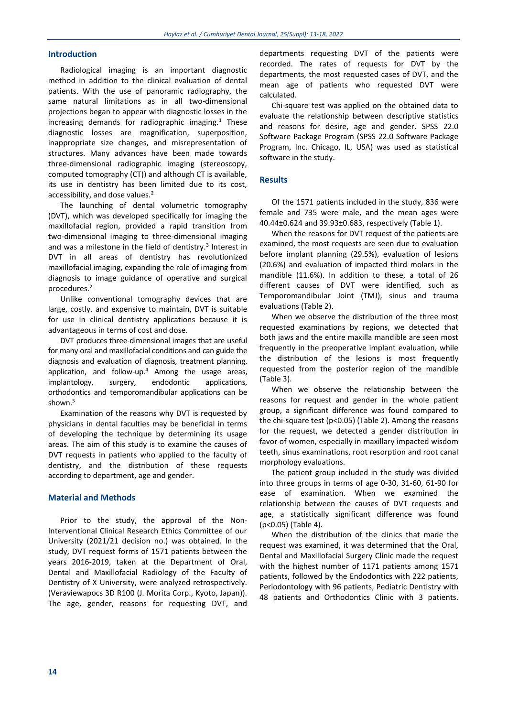### **Introduction**

Radiological imaging is an important diagnostic method in addition to the clinical evaluation of dental patients. With the use of panoramic radiography, the same natural limitations as in all two-dimensional projections began to appear with diagnostic losses in the increasing demands for radiographic imaging. $1$  These diagnostic losses are magnification, superposition, inappropriate size changes, and misrepresentation of structures. Many advances have been made towards three-dimensional radiographic imaging (stereoscopy, computed tomography (CT)) and although CT is available, its use in dentistry has been limited due to its cost, accessibility, and dose values.<sup>2</sup>

The launching of dental volumetric tomography (DVT), which was developed specifically for imaging the maxillofacial region, provided a rapid transition from two-dimensional imaging to three-dimensional imaging and was a milestone in the field of dentistry.<sup>3</sup> Interest in DVT in all areas of dentistry has revolutionized maxillofacial imaging, expanding the role of imaging from diagnosis to image guidance of operative and surgical procedures.<sup>2</sup>

Unlike conventional tomography devices that are large, costly, and expensive to maintain, DVT is suitable for use in clinical dentistry applications because it is advantageous in terms of cost and dose.

DVT produces three-dimensional images that are useful for many oral and maxillofacial conditions and can guide the diagnosis and evaluation of diagnosis, treatment planning, application, and follow-up. $4$  Among the usage areas, implantology, surgery, endodontic applications, orthodontics and temporomandibular applications can be shown.<sup>5</sup>

Examination of the reasons why DVT is requested by physicians in dental faculties may be beneficial in terms of developing the technique by determining its usage areas. The aim of this study is to examine the causes of DVT requests in patients who applied to the faculty of dentistry, and the distribution of these requests according to department, age and gender.

## **Material and Methods**

Prior to the study, the approval of the Non-Interventional Clinical Research Ethics Committee of our University (2021/21 decision no.) was obtained. In the study, DVT request forms of 1571 patients between the years 2016-2019, taken at the Department of Oral, Dental and Maxillofacial Radiology of the Faculty of Dentistry of X University, were analyzed retrospectively. (Veraviewapocs 3D R100 (J. Morita Corp., Kyoto, Japan)). The age, gender, reasons for requesting DVT, and departments requesting DVT of the patients were recorded. The rates of requests for DVT by the departments, the most requested cases of DVT, and the mean age of patients who requested DVT were calculated.

Chi-square test was applied on the obtained data to evaluate the relationship between descriptive statistics and reasons for desire, age and gender. SPSS 22.0 Software Package Program (SPSS 22.0 Software Package Program, Inc. Chicago, IL, USA) was used as statistical software in the study.

#### **Results**

Of the 1571 patients included in the study, 836 were female and 735 were male, and the mean ages were 40.44±0.624 and 39.93±0.683, respectively (Table 1).

When the reasons for DVT request of the patients are examined, the most requests are seen due to evaluation before implant planning (29.5%), evaluation of lesions (20.6%) and evaluation of impacted third molars in the mandible (11.6%). In addition to these, a total of 26 different causes of DVT were identified, such as Temporomandibular Joint (TMJ), sinus and trauma evaluations (Table 2).

When we observe the distribution of the three most requested examinations by regions, we detected that both jaws and the entire maxilla mandible are seen most frequently in the preoperative implant evaluation, while the distribution of the lesions is most frequently requested from the posterior region of the mandible (Table 3).

When we observe the relationship between the reasons for request and gender in the whole patient group, a significant difference was found compared to the chi-square test (p<0.05) (Table 2). Among the reasons for the request, we detected a gender distribution in favor of women, especially in maxillary impacted wisdom teeth, sinus examinations, root resorption and root canal morphology evaluations.

The patient group included in the study was divided into three groups in terms of age 0-30, 31-60, 61-90 for ease of examination. When we examined the relationship between the causes of DVT requests and age, a statistically significant difference was found (p<0.05) (Table 4).

When the distribution of the clinics that made the request was examined, it was determined that the Oral, Dental and Maxillofacial Surgery Clinic made the request with the highest number of 1171 patients among 1571 patients, followed by the Endodontics with 222 patients, Periodontology with 96 patients, Pediatric Dentistry with 48 patients and Orthodontics Clinic with 3 patients.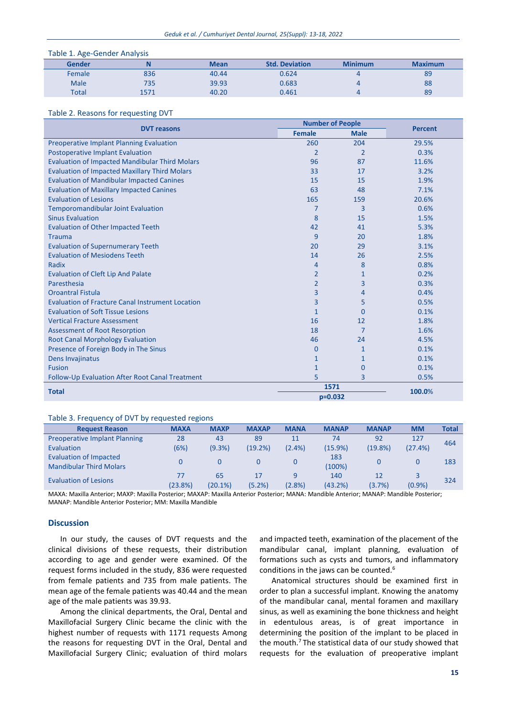| Table 1. Age-Gender Analysis |      |             |                       |                |                |  |
|------------------------------|------|-------------|-----------------------|----------------|----------------|--|
| Gender                       |      | <b>Mean</b> | <b>Std. Deviation</b> | <b>Minimum</b> | <b>Maximum</b> |  |
| Female                       | 836  | 40.44       | 0.624                 |                | 89             |  |
| <b>Male</b>                  | 735  | 39.93       | 0.683                 |                | 88             |  |
| <b>Total</b>                 | 1571 | 40.20       | 0.461                 |                | 89             |  |

#### Table 2. Reasons for requesting DVT

| <b>DVT reasons</b>                                      | <b>Number of People</b> |                | <b>Percent</b> |  |
|---------------------------------------------------------|-------------------------|----------------|----------------|--|
|                                                         | <b>Female</b>           | <b>Male</b>    |                |  |
| <b>Preoperative Implant Planning Evaluation</b>         | 260                     | 204            | 29.5%          |  |
| <b>Postoperative Implant Evaluation</b>                 | $\overline{2}$          | $\overline{2}$ | 0.3%           |  |
| <b>Evaluation of Impacted Mandibular Third Molars</b>   | 96                      | 87             | 11.6%          |  |
| <b>Evaluation of Impacted Maxillary Third Molars</b>    | 33                      | 17             | 3.2%           |  |
| <b>Evaluation of Mandibular Impacted Canines</b>        | 15                      | 15             | 1.9%           |  |
| <b>Evaluation of Maxillary Impacted Canines</b>         | 63                      | 48             | 7.1%           |  |
| <b>Evaluation of Lesions</b>                            | 165                     | 159            | 20.6%          |  |
| <b>Temporomandibular Joint Evaluation</b>               | 7                       | 3              | 0.6%           |  |
| <b>Sinus Evaluation</b>                                 | 8                       | 15             | 1.5%           |  |
| <b>Evaluation of Other Impacted Teeth</b>               | 42                      | 41             | 5.3%           |  |
| <b>Trauma</b>                                           | 9                       | 20             | 1.8%           |  |
| <b>Evaluation of Supernumerary Teeth</b>                | 20                      | 29             | 3.1%           |  |
| <b>Evaluation of Mesiodens Teeth</b>                    | 14                      | 26             | 2.5%           |  |
| Radix                                                   | 4                       | 8              | 0.8%           |  |
| Evaluation of Cleft Lip And Palate                      | $\overline{2}$          | 1              | 0.2%           |  |
| Paresthesia                                             | $\overline{2}$          | 3              | 0.3%           |  |
| <b>Oroantral Fistula</b>                                | 3                       | 4              | 0.4%           |  |
| <b>Evaluation of Fracture Canal Instrument Location</b> | 3                       | 5              | 0.5%           |  |
| <b>Evaluation of Soft Tissue Lesions</b>                | 1                       | $\Omega$       | 0.1%           |  |
| <b>Vertical Fracture Assessment</b>                     | 16                      | 12             | 1.8%           |  |
| <b>Assessment of Root Resorption</b>                    | 18                      | 7              | 1.6%           |  |
| <b>Root Canal Morphology Evaluation</b>                 | 46                      | 24             | 4.5%           |  |
| Presence of Foreign Body in The Sinus                   | 0                       | 1              | 0.1%           |  |
| Dens Invajinatus                                        | 1                       | 1              | 0.1%           |  |
| <b>Fusion</b>                                           | $\mathbf{1}$            | $\mathbf 0$    | 0.1%           |  |
| Follow-Up Evaluation After Root Canal Treatment         | 5                       | 3              | 0.5%           |  |
| <b>Total</b>                                            | 1571                    | 100.0%         |                |  |
|                                                         | $p=0.032$               |                |                |  |

#### Table 3. Frequency of DVT by requested regions

| <b>Request Reason</b>                | <b>MAXA</b> | <b>MAXP</b> | <b>MAXAP</b> | <b>MANA</b> | <b>MANAP</b> | <b>MANAP</b> | <b>MM</b> | <b>Total</b> |
|--------------------------------------|-------------|-------------|--------------|-------------|--------------|--------------|-----------|--------------|
| <b>Preoperative Implant Planning</b> | 28          | 43          | 89           | 11          | 74           | 92           | 127       | 464          |
| Evaluation                           | (6%)        | (9.3%)      | (19.2%)      | $(2.4\%)$   | (15.9%)      | (19.8%)      | (27.4%)   |              |
| Evaluation of Impacted               |             |             |              |             | 183          |              |           | 183          |
| <b>Mandibular Third Molars</b>       |             |             |              |             | (100%)       |              |           |              |
| <b>Evaluation of Lesions</b>         | 77          | 65          | 17           | 9           | 140          | 12           |           | 324          |
|                                      | (23.8%)     | (20.1%)     | (5.2%)       | $(2.8\%)$   | (43.2%)      | (3.7%)       | $(0.9\%)$ |              |

MAXA: Maxilla Anterior; MAXP: Maxilla Posterior; MAXAP: Maxilla Anterior Posterior; MANA: Mandible Anterior; MANAP: Mandible Posterior; MANAP: Mandible Anterior Posterior; MM: Maxilla Mandible

#### **Discussion**

In our study, the causes of DVT requests and the clinical divisions of these requests, their distribution according to age and gender were examined. Of the request forms included in the study, 836 were requested from female patients and 735 from male patients. The mean age of the female patients was 40.44 and the mean age of the male patients was 39.93.

Among the clinical departments, the Oral, Dental and Maxillofacial Surgery Clinic became the clinic with the highest number of requests with 1171 requests Among the reasons for requesting DVT in the Oral, Dental and Maxillofacial Surgery Clinic; evaluation of third molars and impacted teeth, examination of the placement of the mandibular canal, implant planning, evaluation of formations such as cysts and tumors, and inflammatory conditions in the jaws can be counted.<sup>6</sup>

Anatomical structures should be examined first in order to plan a successful implant. Knowing the anatomy of the mandibular canal, mental foramen and maxillary sinus, as well as examining the bone thickness and height in edentulous areas, is of great importance in determining the position of the implant to be placed in the mouth. $7$ The statistical data of our study showed that requests for the evaluation of preoperative implant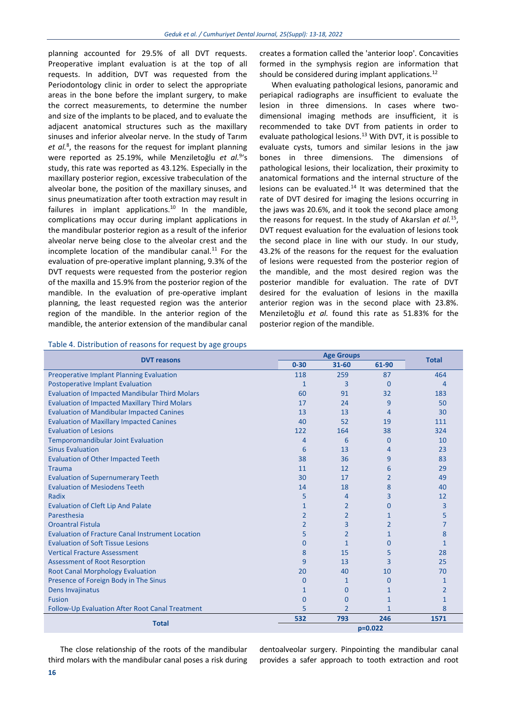planning accounted for 29.5% of all DVT requests. Preoperative implant evaluation is at the top of all requests. In addition, DVT was requested from the Periodontology clinic in order to select the appropriate areas in the bone before the implant surgery, to make the correct measurements, to determine the number and size of the implants to be placed, and to evaluate the adjacent anatomical structures such as the maxillary sinuses and inferior alveolar nerve. In the study of Tarım *et al.*<sup>8</sup> , the reasons for the request for implant planning were reported as 25.19%, while Menziletoğlu *et al.*<sup>9</sup> 's study, this rate was reported as 43.12%. Especially in the maxillary posterior region, excessive trabeculation of the alveolar bone, the position of the maxillary sinuses, and sinus pneumatization after tooth extraction may result in failures in implant applications. $10$  In the mandible, complications may occur during implant applications in the mandibular posterior region as a result of the inferior alveolar nerve being close to the alveolar crest and the incomplete location of the mandibular canal. $^{11}$  For the evaluation of pre-operative implant planning, 9.3% of the DVT requests were requested from the posterior region of the maxilla and 15.9% from the posterior region of the mandible. In the evaluation of pre-operative implant planning, the least requested region was the anterior region of the mandible. In the anterior region of the mandible, the anterior extension of the mandibular canal

## creates a formation called the 'anterior loop'. Concavities formed in the symphysis region are information that should be considered during implant applications.<sup>12</sup>

When evaluating pathological lesions, panoramic and periapical radiographs are insufficient to evaluate the lesion in three dimensions. In cases where twodimensional imaging methods are insufficient, it is recommended to take DVT from patients in order to evaluate pathological lesions.<sup>13</sup> With DVT, it is possible to evaluate cysts, tumors and similar lesions in the jaw bones in three dimensions. The dimensions of pathological lesions, their localization, their proximity to anatomical formations and the internal structure of the lesions can be evaluated. $14$  It was determined that the rate of DVT desired for imaging the lesions occurring in the jaws was 20.6%, and it took the second place among the reasons for request. In the study of Akarslan *et al.*<sup>15</sup> , DVT request evaluation for the evaluation of lesions took the second place in line with our study. In our study, 43.2% of the reasons for the request for the evaluation of lesions were requested from the posterior region of the mandible, and the most desired region was the posterior mandible for evaluation. The rate of DVT desired for the evaluation of lesions in the maxilla anterior region was in the second place with 23.8%. Menziletoğlu *et al.* found this rate as 51.83% for the posterior region of the mandible.

| <b>DVT</b> reasons                                      |                | <b>Age Groups</b> |                |              |
|---------------------------------------------------------|----------------|-------------------|----------------|--------------|
|                                                         |                | $31 - 60$         | 61-90          | <b>Total</b> |
| Preoperative Implant Planning Evaluation                | 118            | 259               | 87             | 464          |
| <b>Postoperative Implant Evaluation</b>                 | 1              | 3                 | $\Omega$       | 4            |
| <b>Evaluation of Impacted Mandibular Third Molars</b>   | 60             | 91                | 32             | 183          |
| <b>Evaluation of Impacted Maxillary Third Molars</b>    | 17             | 24                | 9              | 50           |
| <b>Evaluation of Mandibular Impacted Canines</b>        | 13             | 13                | 4              | 30           |
| <b>Evaluation of Maxillary Impacted Canines</b>         | 40             | 52                | 19             | 111          |
| <b>Evaluation of Lesions</b>                            | 122            | 164               | 38             | 324          |
| <b>Temporomandibular Joint Evaluation</b>               | 4              | 6                 | $\mathbf 0$    | 10           |
| <b>Sinus Evaluation</b>                                 | 6              | 13                | 4              | 23           |
| <b>Evaluation of Other Impacted Teeth</b>               | 38             | 36                | 9              | 83           |
| <b>Trauma</b>                                           | 11             | 12                | 6              | 29           |
| <b>Evaluation of Supernumerary Teeth</b>                | 30             | 17                | $\overline{2}$ | 49           |
| <b>Evaluation of Mesiodens Teeth</b>                    | 14             | 18                | 8              | 40           |
| Radix                                                   | 5              | $\overline{4}$    | 3              | 12           |
| <b>Evaluation of Cleft Lip And Palate</b>               | $\mathbf{1}$   | $\overline{2}$    | $\Omega$       | 3            |
| Paresthesia                                             | $\overline{2}$ | $\overline{2}$    | $\mathbf{1}$   | 5            |
| <b>Oroantral Fistula</b>                                | $\overline{2}$ | $\overline{3}$    | $\overline{2}$ | 7            |
| <b>Evaluation of Fracture Canal Instrument Location</b> | 5              | $\overline{2}$    | 1              | 8            |
| <b>Evaluation of Soft Tissue Lesions</b>                | $\mathbf{0}$   | $\mathbf{1}$      | $\Omega$       | 1            |
| <b>Vertical Fracture Assessment</b>                     | 8              | 15                | 5              | 28           |
| <b>Assessment of Root Resorption</b>                    | 9              | 13                | 3              | 25           |
| <b>Root Canal Morphology Evaluation</b>                 | 20             | 40                | 10             | 70           |
| Presence of Foreign Body in The Sinus                   | $\mathbf{0}$   | $\mathbf{1}$      | $\Omega$       | 1            |
| Dens Invajinatus                                        | 1              | $\Omega$          | 1              | 2            |
| <b>Fusion</b>                                           | $\overline{0}$ | $\overline{0}$    | $\mathbf{1}$   | $\mathbf{1}$ |
| Follow-Up Evaluation After Root Canal Treatment         | 5              | $\overline{2}$    | 1              | 8            |
| <b>Total</b>                                            |                | 793               | 246            | 1571         |
|                                                         |                | $p=0.022$         |                |              |

Table 4. Distribution of reasons for request by age groups

The close relationship of the roots of the mandibular third molars with the mandibular canal poses a risk during dentoalveolar surgery. Pinpointing the mandibular canal provides a safer approach to tooth extraction and root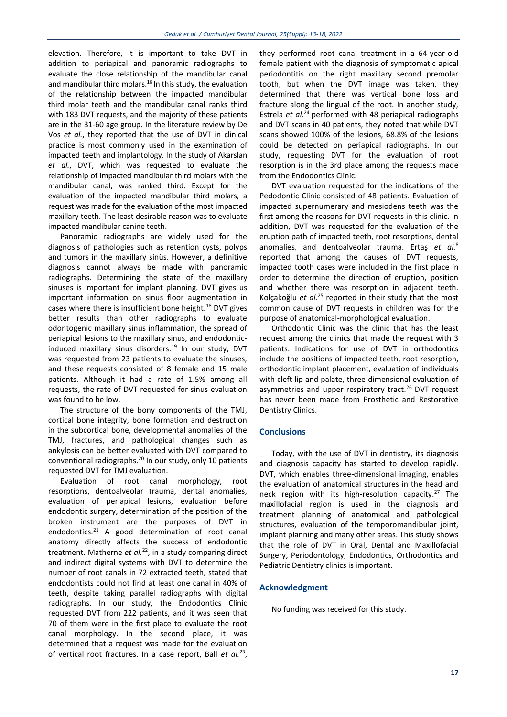elevation. Therefore, it is important to take DVT in addition to periapical and panoramic radiographs to evaluate the close relationship of the mandibular canal and mandibular third molars.<sup>16</sup> In this study, the evaluation of the relationship between the impacted mandibular third molar teeth and the mandibular canal ranks third with 183 DVT requests, and the majority of these patients are in the 31-60 age group. In the literature review by De Vos *et al.*, they reported that the use of DVT in clinical practice is most commonly used in the examination of impacted teeth and implantology. In the study of Akarslan *et al.*, DVT, which was requested to evaluate the relationship of impacted mandibular third molars with the mandibular canal, was ranked third. Except for the evaluation of the impacted mandibular third molars, a request was made for the evaluation of the most impacted maxillary teeth. The least desirable reason was to evaluate impacted mandibular canine teeth.

Panoramic radiographs are widely used for the diagnosis of pathologies such as retention cysts, polyps and tumors in the maxillary sinüs. However, a definitive diagnosis cannot always be made with panoramic radiographs. Determining the state of the maxillary sinuses is important for implant planning. DVT gives us important information on sinus floor augmentation in cases where there is insufficient bone height.<sup>18</sup> DVT gives better results than other radiographs to evaluate odontogenic maxillary sinus inflammation, the spread of periapical lesions to the maxillary sinus, and endodonticinduced maxillary sinus disorders.<sup>19</sup> In our study, DVT was requested from 23 patients to evaluate the sinuses, and these requests consisted of 8 female and 15 male patients. Although it had a rate of 1.5% among all requests, the rate of DVT requested for sinus evaluation was found to be low.

The structure of the bony components of the TMJ, cortical bone integrity, bone formation and destruction in the subcortical bone, developmental anomalies of the TMJ, fractures, and pathological changes such as ankylosis can be better evaluated with DVT compared to conventional radiographs.<sup>20</sup> In our study, only 10 patients requested DVT for TMJ evaluation.

Evaluation of root canal morphology, root resorptions, dentoalveolar trauma, dental anomalies, evaluation of periapical lesions, evaluation before endodontic surgery, determination of the position of the broken instrument are the purposes of DVT in endodontics.<sup>21</sup> A good determination of root canal anatomy directly affects the success of endodontic treatment. Matherne *et al.*<sup>22</sup>, in a study comparing direct and indirect digital systems with DVT to determine the number of root canals in 72 extracted teeth, stated that endodontists could not find at least one canal in 40% of teeth, despite taking parallel radiographs with digital radiographs. In our study, the Endodontics Clinic requested DVT from 222 patients, and it was seen that 70 of them were in the first place to evaluate the root canal morphology. In the second place, it was determined that a request was made for the evaluation of vertical root fractures. In a case report, Ball et al.<sup>23</sup>, they performed root canal treatment in a 64-year-old female patient with the diagnosis of symptomatic apical periodontitis on the right maxillary second premolar tooth, but when the DVT image was taken, they determined that there was vertical bone loss and fracture along the lingual of the root. In another study, Estrela *et al.*<sup>24</sup> performed with 48 periapical radiographs and DVT scans in 40 patients, they noted that while DVT scans showed 100% of the lesions, 68.8% of the lesions could be detected on periapical radiographs. In our study, requesting DVT for the evaluation of root resorption is in the 3rd place among the requests made from the Endodontics Clinic.

DVT evaluation requested for the indications of the Pedodontic Clinic consisted of 48 patients. Evaluation of impacted supernumerary and mesiodens teeth was the first among the reasons for DVT requests in this clinic. In addition, DVT was requested for the evaluation of the eruption path of impacted teeth, root resorptions, dental anomalies, and dentoalveolar trauma. Ertaş *et al.*<sup>8</sup> reported that among the causes of DVT requests, impacted tooth cases were included in the first place in order to determine the direction of eruption, position and whether there was resorption in adjacent teeth. Kolçakoğlu *et al.*<sup>25</sup> reported in their study that the most common cause of DVT requests in children was for the purpose of anatomical-morphological evaluation.

Orthodontic Clinic was the clinic that has the least request among the clinics that made the request with 3 patients. Indications for use of DVT in orthodontics include the positions of impacted teeth, root resorption, orthodontic implant placement, evaluation of individuals with cleft lip and palate, three-dimensional evaluation of asymmetries and upper respiratory tract.<sup>26</sup> DVT request has never been made from Prosthetic and Restorative Dentistry Clinics.

#### **Conclusions**

Today, with the use of DVT in dentistry, its diagnosis and diagnosis capacity has started to develop rapidly. DVT, which enables three-dimensional imaging, enables the evaluation of anatomical structures in the head and neck region with its high-resolution capacity.<sup>27</sup> The maxillofacial region is used in the diagnosis and treatment planning of anatomical and pathological structures, evaluation of the temporomandibular joint, implant planning and many other areas. This study shows that the role of DVT in Oral, Dental and Maxillofacial Surgery, Periodontology, Endodontics, Orthodontics and Pediatric Dentistry clinics is important.

#### **Acknowledgment**

No funding was received for this study.